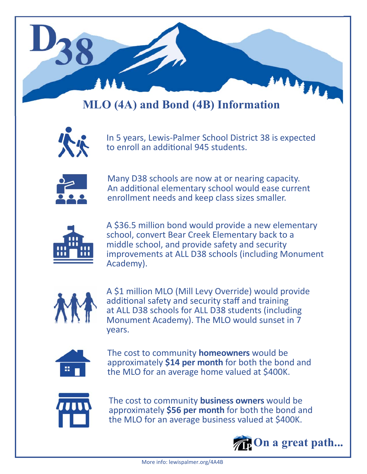

## **MLO (4A) and Bond (4B) Information**



In 5 years, Lewis‐Palmer School District 38 is expected to enroll an additional 945 students.



Many D38 schools are now at or nearing capacity. An additional elementary school would ease current enrollment needs and keep class sizes smaller.



A \$36.5 million bond would provide a new elementary school, convert Bear Creek Elementary back to a middle school, and provide safety and security improvements at ALL D38 schools (including Monument Academy).



A \$1 million MLO (Mill Levy Override) would provide additional safety and security staff and training at ALL D38 schools for ALL D38 students (including Monument Academy). The MLO would sunset in 7 years.



The cost to community **homeowners** would be approximately **\$14 per month** for both the bond and the MLO for an average home valued at \$400K.



The cost to community **business owners** would be approximately **\$56 per month** for both the bond and the MLO for an average business valued at \$400K.